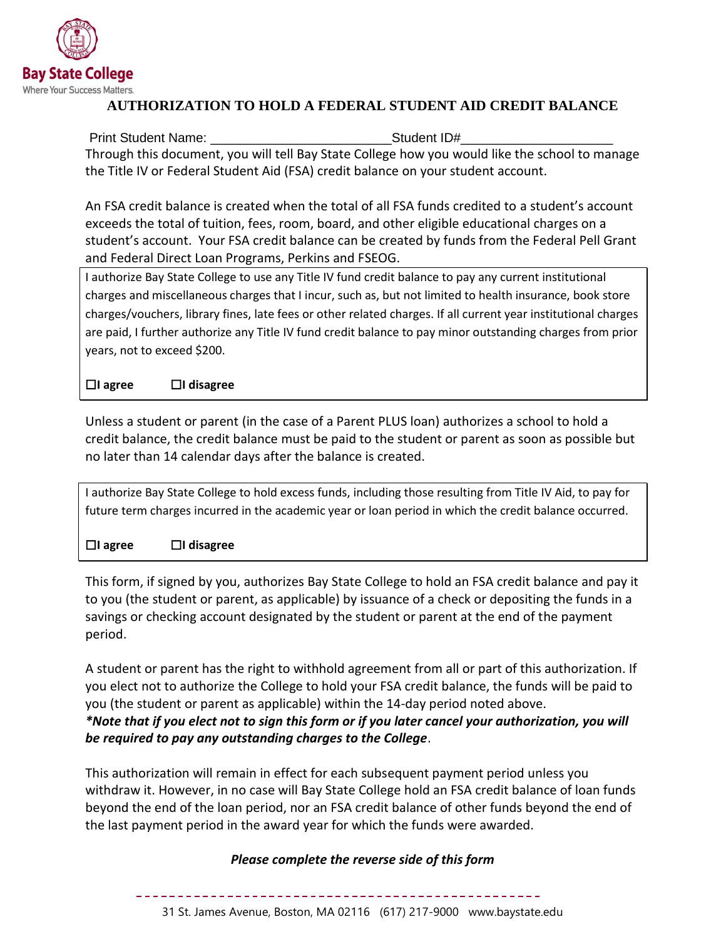

## **AUTHORIZATION TO HOLD A FEDERAL STUDENT AID CREDIT BALANCE**

Print Student Name: etc. All and Student ID# Through this document, you will tell Bay State College how you would like the school to manage the Title IV or Federal Student Aid (FSA) credit balance on your student account.

An FSA credit balance is created when the total of all FSA funds credited to a student's account exceeds the total of tuition, fees, room, board, and other eligible educational charges on a student's account. Your FSA credit balance can be created by funds from the Federal Pell Grant and Federal Direct Loan Programs, Perkins and FSEOG.

I authorize Bay State College to use any Title IV fund credit balance to pay any current institutional charges and miscellaneous charges that I incur, such as, but not limited to health insurance, book store charges/vouchers, library fines, late fees or other related charges. If all current year institutional charges are paid, I further authorize any Title IV fund credit balance to pay minor outstanding charges from prior years, not to exceed \$200.

☐**I agree** ☐**I disagree**

Unless a student or parent (in the case of a Parent PLUS loan) authorizes a school to hold a credit balance, the credit balance must be paid to the student or parent as soon as possible but no later than 14 calendar days after the balance is created.

I authorize Bay State College to hold excess funds, including those resulting from Title IV Aid, to pay for future term charges incurred in the academic year or loan period in which the credit balance occurred.

☐**I agree** ☐**I disagree**

This form, if signed by you, authorizes Bay State College to hold an FSA credit balance and pay it to you (the student or parent, as applicable) by issuance of a check or depositing the funds in a savings or checking account designated by the student or parent at the end of the payment period.

A student or parent has the right to withhold agreement from all or part of this authorization. If you elect not to authorize the College to hold your FSA credit balance, the funds will be paid to you (the student or parent as applicable) within the 14-day period noted above. *\*Note that if you elect not to sign this form or if you later cancel your authorization, you will be required to pay any outstanding charges to the College*.

This authorization will remain in effect for each subsequent payment period unless you withdraw it. However, in no case will Bay State College hold an FSA credit balance of loan funds beyond the end of the loan period, nor an FSA credit balance of other funds beyond the end of the last payment period in the award year for which the funds were awarded.

## *Please complete the reverse side of this form*